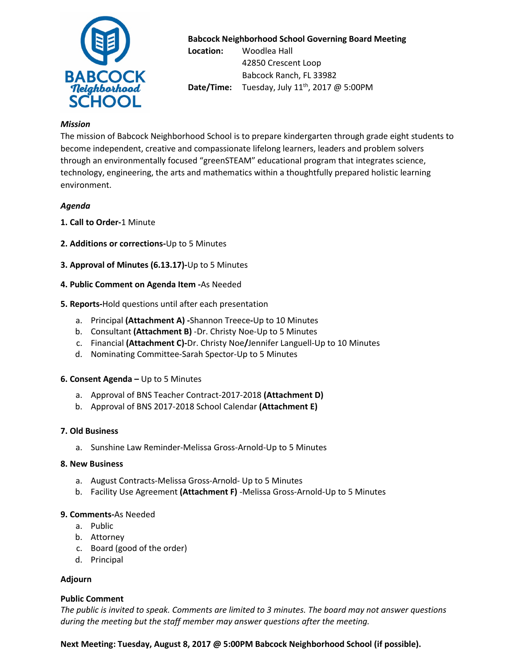

## **Babcock Neighborhood School Governing Board Meeting**

**Location:** Woodlea Hall 42850 Crescent Loop Babcock Ranch, FL 33982 **Date/Time:** Tuesday, July 11<sup>th</sup>, 2017 @ 5:00PM

## *Mission*

The mission of Babcock Neighborhood School is to prepare kindergarten through grade eight students to become independent, creative and compassionate lifelong learners, leaders and problem solvers through an environmentally focused "greenSTEAM" educational program that integrates science, technology, engineering, the arts and mathematics within a thoughtfully prepared holistic learning environment.

## *Agenda*

- **1. Call to Order-**1 Minute
- **2. Additions or corrections-**Up to 5 Minutes
- **3. Approval of Minutes (6.13.17)-**Up to 5 Minutes
- **4. Public Comment on Agenda Item -**As Needed
- **5. Reports-**Hold questions until after each presentation
	- a. Principal **(Attachment A) -**Shannon Treece**-**Up to 10 Minutes
	- b. Consultant **(Attachment B)** -Dr. Christy Noe-Up to 5 Minutes
	- c. Financial **(Attachment C)-**Dr. Christy Noe**/**Jennifer Languell-Up to 10 Minutes
	- d. Nominating Committee-Sarah Spector-Up to 5 Minutes

## **6. Consent Agenda –** Up to 5 Minutes

- a. Approval of BNS Teacher Contract-2017-2018 **(Attachment D)**
- b. Approval of BNS 2017-2018 School Calendar **(Attachment E)**

## **7. Old Business**

a. Sunshine Law Reminder-Melissa Gross-Arnold-Up to 5 Minutes

## **8. New Business**

- a. August Contracts-Melissa Gross-Arnold- Up to 5 Minutes
- b. Facility Use Agreement **(Attachment F)** -Melissa Gross-Arnold-Up to 5 Minutes

## **9. Comments-**As Needed

- a. Public
- b. Attorney
- c. Board (good of the order)
- d. Principal

## **Adjourn**

## **Public Comment**

*The public is invited to speak. Comments are limited to 3 minutes. The board may not answer questions during the meeting but the staff member may answer questions after the meeting.* 

**Next Meeting: Tuesday, August 8, 2017 @ 5:00PM Babcock Neighborhood School (if possible).**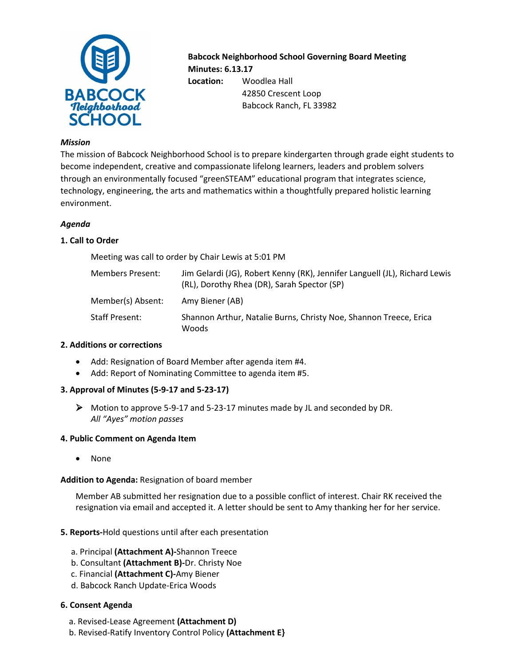

**Babcock Neighborhood School Governing Board Meeting Minutes: 6.13.17 Location:** Woodlea Hall 42850 Crescent Loop Babcock Ranch, FL 33982

#### *Mission*

The mission of Babcock Neighborhood School is to prepare kindergarten through grade eight students to become independent, creative and compassionate lifelong learners, leaders and problem solvers through an environmentally focused "greenSTEAM" educational program that integrates science, technology, engineering, the arts and mathematics within a thoughtfully prepared holistic learning environment.

#### *Agenda*

## **1. Call to Order**

Meeting was call to order by Chair Lewis at 5:01 PM

| Members Present:  | Jim Gelardi (JG), Robert Kenny (RK), Jennifer Languell (JL), Richard Lewis<br>(RL), Dorothy Rhea (DR), Sarah Spector (SP) |
|-------------------|---------------------------------------------------------------------------------------------------------------------------|
| Member(s) Absent: | Amy Biener (AB)                                                                                                           |
| Staff Present:    | Shannon Arthur, Natalie Burns, Christy Noe, Shannon Treece, Erica<br>Woods                                                |

## **2. Additions or corrections**

- Add: Resignation of Board Member after agenda item #4.
- Add: Report of Nominating Committee to agenda item #5.

## **3. Approval of Minutes (5-9-17 and 5-23-17)**

 $\triangleright$  Motion to approve 5-9-17 and 5-23-17 minutes made by JL and seconded by DR. *All "Ayes" motion passes*

## **4. Public Comment on Agenda Item**

• None

## **Addition to Agenda:** Resignation of board member

Member AB submitted her resignation due to a possible conflict of interest. Chair RK received the resignation via email and accepted it. A letter should be sent to Amy thanking her for her service.

## **5. Reports-**Hold questions until after each presentation

- a. Principal **(Attachment A)-**Shannon Treece
- b. Consultant **(Attachment B)-**Dr. Christy Noe
- c. Financial **(Attachment C)-**Amy Biener
- d. Babcock Ranch Update-Erica Woods

#### **6. Consent Agenda**

- a. Revised-Lease Agreement **(Attachment D)**
- b. Revised-Ratify Inventory Control Policy **(Attachment E}**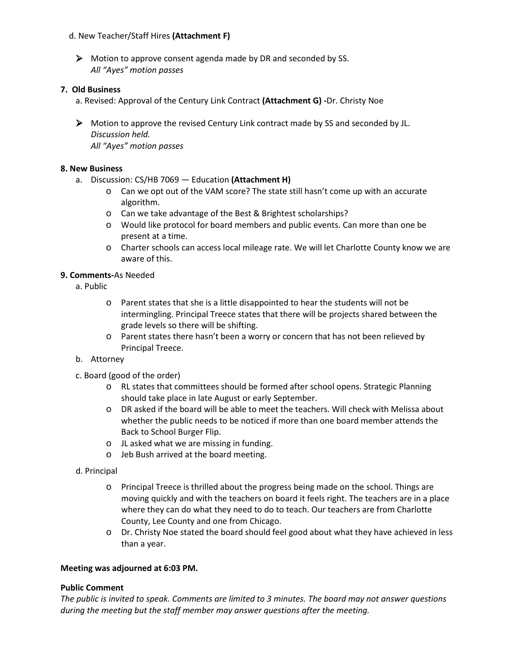## d. New Teacher/Staff Hires **(Attachment F)**

A Motion to approve consent agenda made by DR and seconded by SS. *All "Ayes" motion passes*

## **7. Old Business**

- a. Revised: Approval of the Century Link Contract **(Attachment G) -**Dr. Christy Noe
- $\triangleright$  Motion to approve the revised Century Link contract made by SS and seconded by JL. *Discussion held. All "Ayes" motion passes*

## **8. New Business**

- a. Discussion: CS/HB 7069 Education **(Attachment H)**
	- o Can we opt out of the VAM score? The state still hasn't come up with an accurate algorithm.
	- o Can we take advantage of the Best & Brightest scholarships?
	- o Would like protocol for board members and public events. Can more than one be present at a time.
	- o Charter schools can access local mileage rate. We will let Charlotte County know we are aware of this.

## **9. Comments-**As Needed

- a. Public
	- $\circ$  Parent states that she is a little disappointed to hear the students will not be intermingling. Principal Treece states that there will be projects shared between the grade levels so there will be shifting.
	- o Parent states there hasn't been a worry or concern that has not been relieved by Principal Treece.
- b. Attorney
- c. Board (good of the order)
	- o RL states that committees should be formed after school opens. Strategic Planning should take place in late August or early September.
	- o DR asked if the board will be able to meet the teachers. Will check with Melissa about whether the public needs to be noticed if more than one board member attends the Back to School Burger Flip.
	- o JL asked what we are missing in funding.
	- o Jeb Bush arrived at the board meeting.
- d. Principal
	- o Principal Treece is thrilled about the progress being made on the school. Things are moving quickly and with the teachers on board it feels right. The teachers are in a place where they can do what they need to do to teach. Our teachers are from Charlotte County, Lee County and one from Chicago.
	- o Dr. Christy Noe stated the board should feel good about what they have achieved in less than a year.

## **Meeting was adjourned at 6:03 PM.**

## **Public Comment**

*The public is invited to speak. Comments are limited to 3 minutes. The board may not answer questions during the meeting but the staff member may answer questions after the meeting.*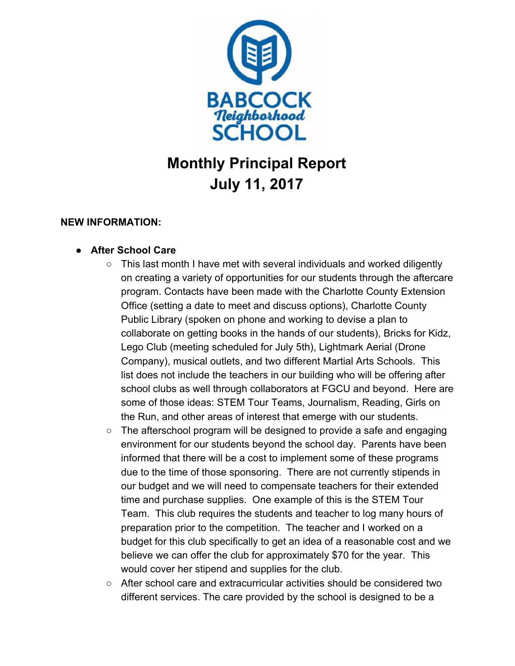

# **Monthly Principal Report July 11, 2017**

## **NEW INFORMATION:**

## **● After School Care**

- This last month I have met with several individuals and worked diligently on creating a variety of opportunities for our students through the aftercare program. Contacts have been made with the Charlotte County Extension Office (setting a date to meet and discuss options), Charlotte County Public Library (spoken on phone and working to devise a plan to collaborate on getting books in the hands of our students), Bricks for Kidz, Lego Club (meeting scheduled for July 5th), Lightmark Aerial (Drone Company), musical outlets, and two different Martial Arts Schools. This list does not include the teachers in our building who will be offering after school clubs as well through collaborators at FGCU and beyond. Here are some of those ideas: STEM Tour Teams, Journalism, Reading, Girls on the Run, and other areas of interest that emerge with our students.
- The afterschool program will be designed to provide a safe and engaging environment for our students beyond the school day. Parents have been informed that there will be a cost to implement some of these programs due to the time of those sponsoring. There are not currently stipends in our budget and we will need to compensate teachers for their extended time and purchase supplies. One example of this is the STEM Tour Team. This club requires the students and teacher to log many hours of preparation prior to the competition. The teacher and I worked on a budget for this club specifically to get an idea of a reasonable cost and we believe we can offer the club for approximately \$70 for the year. This would cover her stipend and supplies for the club.
- After school care and extracurricular activities should be considered two different services. The care provided by the school is designed to be a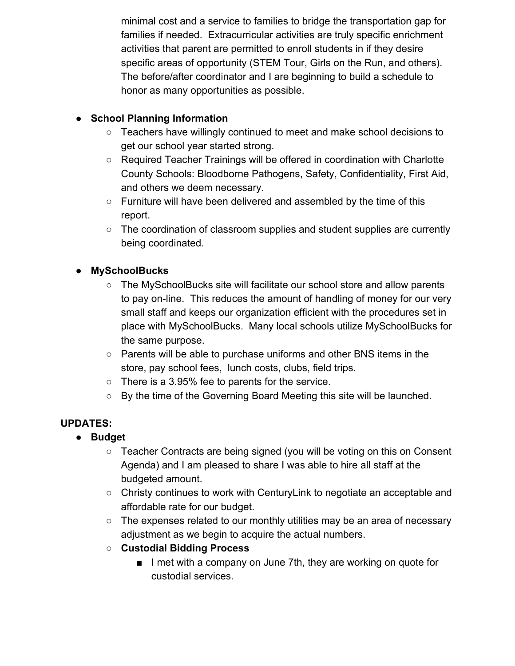minimal cost and a service to families to bridge the transportation gap for families if needed. Extracurricular activities are truly specific enrichment activities that parent are permitted to enroll students in if they desire specific areas of opportunity (STEM Tour, Girls on the Run, and others). The before/after coordinator and I are beginning to build a schedule to honor as many opportunities as possible.

## **● School Planning Information**

- Teachers have willingly continued to meet and make school decisions to get our school year started strong.
- Required Teacher Trainings will be offered in coordination with Charlotte County Schools: Bloodborne Pathogens, Safety, Confidentiality, First Aid, and others we deem necessary.
- $\circ$  Furniture will have been delivered and assembled by the time of this report.
- The coordination of classroom supplies and student supplies are currently being coordinated.

## **● MySchoolBucks**

- The MySchoolBucks site will facilitate our school store and allow parents to pay on-line. This reduces the amount of handling of money for our very small staff and keeps our organization efficient with the procedures set in place with MySchoolBucks. Many local schools utilize MySchoolBucks for the same purpose.
- Parents will be able to purchase uniforms and other BNS items in the store, pay school fees, lunch costs, clubs, field trips.
- There is a 3.95% fee to parents for the service.
- By the time of the Governing Board Meeting this site will be launched.

## **UPDATES:**

- **● Budget**
	- Teacher Contracts are being signed (you will be voting on this on Consent Agenda) and I am pleased to share I was able to hire all staff at the budgeted amount.
	- Christy continues to work with CenturyLink to negotiate an acceptable and affordable rate for our budget.
	- The expenses related to our monthly utilities may be an area of necessary adjustment as we begin to acquire the actual numbers.
	- **○ Custodial Bidding Process**
		- I met with a company on June 7th, they are working on quote for custodial services.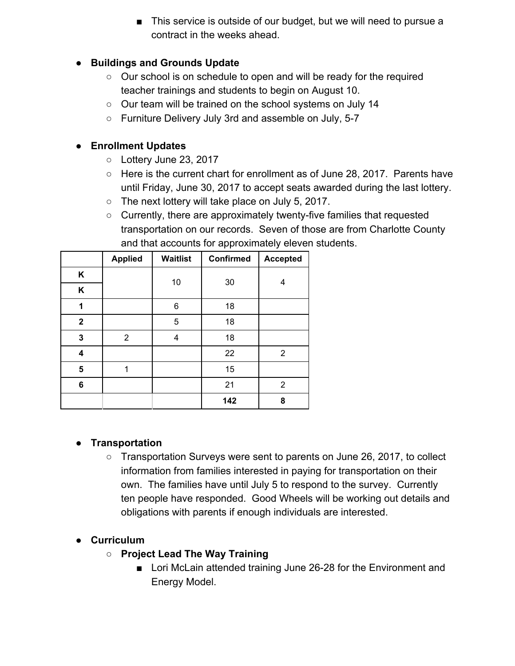■ This service is outside of our budget, but we will need to pursue a contract in the weeks ahead.

## **● Buildings and Grounds Update**

- Our school is on schedule to open and will be ready for the required teacher trainings and students to begin on August 10.
- Our team will be trained on the school systems on July 14
- Furniture Delivery July 3rd and assemble on July, 5-7

## **● Enrollment Updates**

- Lottery June 23, 2017
- Here is the current chart for enrollment as of June 28, 2017. Parents have until Friday, June 30, 2017 to accept seats awarded during the last lottery.
- The next lottery will take place on July 5, 2017.
- Currently, there are approximately twenty-five families that requested transportation on our records. Seven of those are from Charlotte County and that accounts for approximately eleven students.

|             | <b>Applied</b> | <b>Waitlist</b> | <b>Confirmed</b> | <b>Accepted</b> |
|-------------|----------------|-----------------|------------------|-----------------|
| K           |                | 10              | 30               | 4               |
| Κ           |                |                 |                  |                 |
| 1           |                | 6               | 18               |                 |
| $\mathbf 2$ |                | 5               | 18               |                 |
| 3           | 2              | 4               | 18               |                 |
| 4           |                |                 | 22               | 2               |
| 5           | 1              |                 | 15               |                 |
| 6           |                |                 | 21               | 2               |
|             |                |                 | 142              | 8               |

## **● Transportation**

○ Transportation Surveys were sent to parents on June 26, 2017, to collect information from families interested in paying for transportation on their own. The families have until July 5 to respond to the survey. Currently ten people have responded. Good Wheels will be working out details and obligations with parents if enough individuals are interested.

## **● Curriculum**

- **○ Project Lead The Way Training**
	- Lori McLain attended training June 26-28 for the Environment and Energy Model.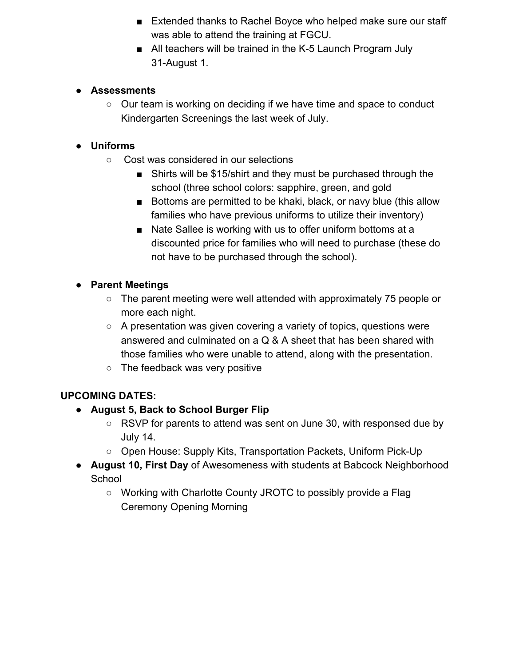- Extended thanks to Rachel Boyce who helped make sure our staff was able to attend the training at FGCU.
- All teachers will be trained in the K-5 Launch Program July 31-August 1.

## **● Assessments**

 $\circ$  Our team is working on deciding if we have time and space to conduct Kindergarten Screenings the last week of July.

## **● Uniforms**

- Cost was considered in our selections
	- Shirts will be \$15/shirt and they must be purchased through the school (three school colors: sapphire, green, and gold
	- Bottoms are permitted to be khaki, black, or navy blue (this allow families who have previous uniforms to utilize their inventory)
	- Nate Sallee is working with us to offer uniform bottoms at a discounted price for families who will need to purchase (these do not have to be purchased through the school).

## **● Parent Meetings**

- The parent meeting were well attended with approximately 75 people or more each night.
- $\circ$  A presentation was given covering a variety of topics, questions were answered and culminated on a Q & A sheet that has been shared with those families who were unable to attend, along with the presentation.
- The feedback was very positive

## **UPCOMING DATES:**

- **● August 5, Back to School Burger Flip**
	- $\circ$  RSVP for parents to attend was sent on June 30, with responsed due by July 14.
	- Open House: Supply Kits, Transportation Packets, Uniform Pick-Up
- **August 10, First Day** of Awesomeness with students at Babcock Neighborhood **School** 
	- Working with Charlotte County JROTC to possibly provide a Flag Ceremony Opening Morning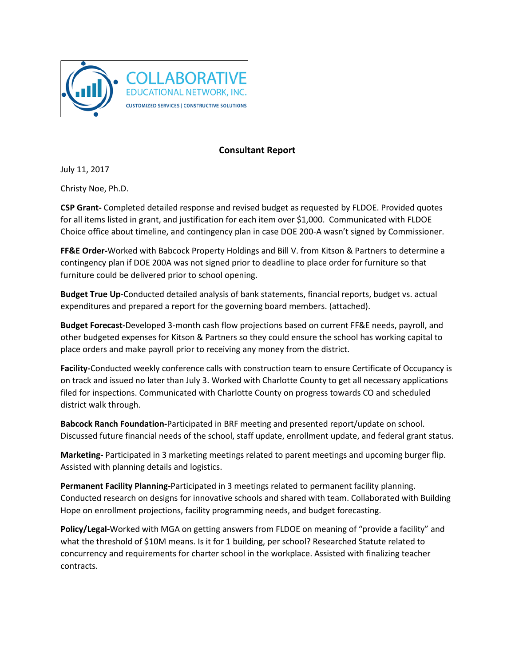

## **Consultant Report**

July 11, 2017

Christy Noe, Ph.D.

**CSP Grant-** Completed detailed response and revised budget as requested by FLDOE. Provided quotes for all items listed in grant, and justification for each item over \$1,000. Communicated with FLDOE Choice office about timeline, and contingency plan in case DOE 200-A wasn't signed by Commissioner.

**FF&E Order-**Worked with Babcock Property Holdings and Bill V. from Kitson & Partners to determine a contingency plan if DOE 200A was not signed prior to deadline to place order for furniture so that furniture could be delivered prior to school opening.

**Budget True Up-**Conducted detailed analysis of bank statements, financial reports, budget vs. actual expenditures and prepared a report for the governing board members. (attached).

**Budget Forecast-**Developed 3-month cash flow projections based on current FF&E needs, payroll, and other budgeted expenses for Kitson & Partners so they could ensure the school has working capital to place orders and make payroll prior to receiving any money from the district.

**Facility-**Conducted weekly conference calls with construction team to ensure Certificate of Occupancy is on track and issued no later than July 3. Worked with Charlotte County to get all necessary applications filed for inspections. Communicated with Charlotte County on progress towards CO and scheduled district walk through.

**Babcock Ranch Foundation-**Participated in BRF meeting and presented report/update on school. Discussed future financial needs of the school, staff update, enrollment update, and federal grant status.

**Marketing-** Participated in 3 marketing meetings related to parent meetings and upcoming burger flip. Assisted with planning details and logistics.

**Permanent Facility Planning-**Participated in 3 meetings related to permanent facility planning. Conducted research on designs for innovative schools and shared with team. Collaborated with Building Hope on enrollment projections, facility programming needs, and budget forecasting.

**Policy/Legal-**Worked with MGA on getting answers from FLDOE on meaning of "provide a facility" and what the threshold of \$10M means. Is it for 1 building, per school? Researched Statute related to concurrency and requirements for charter school in the workplace. Assisted with finalizing teacher contracts.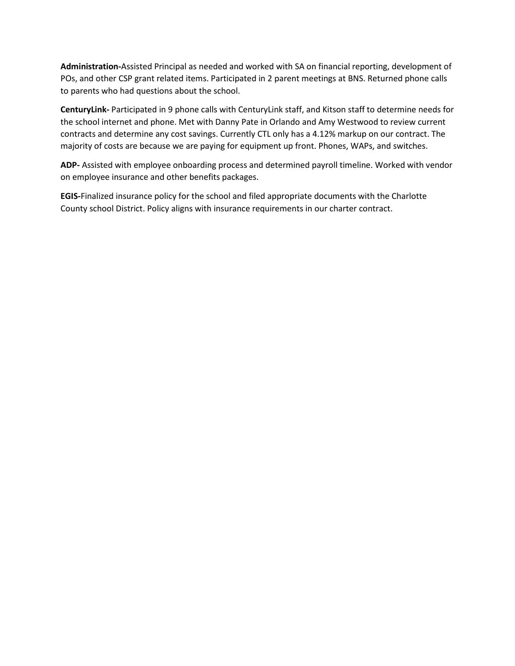**Administration-**Assisted Principal as needed and worked with SA on financial reporting, development of POs, and other CSP grant related items. Participated in 2 parent meetings at BNS. Returned phone calls to parents who had questions about the school.

**CenturyLink-** Participated in 9 phone calls with CenturyLink staff, and Kitson staff to determine needs for the school internet and phone. Met with Danny Pate in Orlando and Amy Westwood to review current contracts and determine any cost savings. Currently CTL only has a 4.12% markup on our contract. The majority of costs are because we are paying for equipment up front. Phones, WAPs, and switches.

**ADP-** Assisted with employee onboarding process and determined payroll timeline. Worked with vendor on employee insurance and other benefits packages.

**EGIS-**Finalized insurance policy for the school and filed appropriate documents with the Charlotte County school District. Policy aligns with insurance requirements in our charter contract.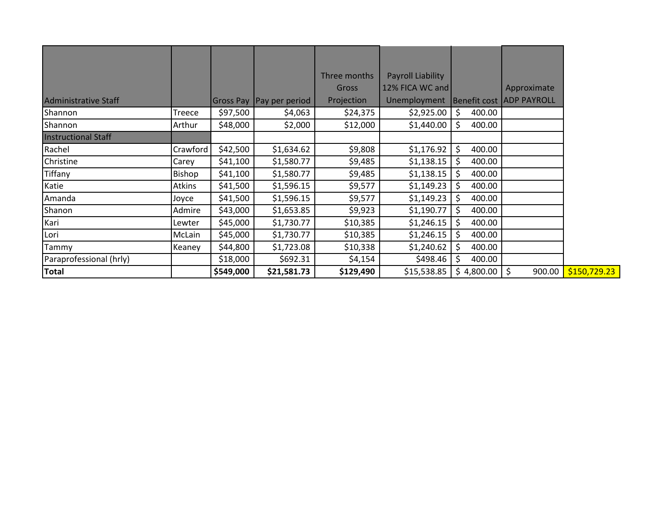|                             |          |           |                            | Three months | Payroll Liability |              |                                 |
|-----------------------------|----------|-----------|----------------------------|--------------|-------------------|--------------|---------------------------------|
|                             |          |           |                            | <b>Gross</b> | 12% FICA WC and   |              | Approximate                     |
| <b>Administrative Staff</b> |          |           | Gross Pay   Pay per period | Projection   | Unemployment      |              | <b>Benefit cost ADP PAYROLL</b> |
| Shannon                     | Treece   | \$97,500  | \$4,063                    | \$24,375     | \$2,925.00        | \$<br>400.00 |                                 |
| Shannon                     | Arthur   | \$48,000  | \$2,000                    | \$12,000     | \$1,440.00        | \$<br>400.00 |                                 |
| <b>Instructional Staff</b>  |          |           |                            |              |                   |              |                                 |
| Rachel                      | Crawford | \$42,500  | \$1,634.62                 | \$9,808      | \$1,176.92        | \$<br>400.00 |                                 |
| Christine                   | Carey    | \$41,100  | \$1,580.77                 | \$9,485      | \$1,138.15        | \$<br>400.00 |                                 |
| <b>Tiffany</b>              | Bishop   | \$41,100  | \$1,580.77                 | \$9,485      | \$1,138.15        | \$<br>400.00 |                                 |
| Katie                       | Atkins   | \$41,500  | \$1,596.15                 | \$9,577      | \$1,149.23        | \$<br>400.00 |                                 |
| Amanda                      | Joyce    | \$41,500  | \$1,596.15                 | \$9,577      | \$1,149.23        | 400.00       |                                 |
| Shanon                      | Admire   | \$43,000  | \$1,653.85                 | \$9,923      | \$1,190.77        | \$<br>400.00 |                                 |
| Kari                        | Lewter   | \$45,000  | \$1,730.77                 | \$10,385     | \$1,246.15        | Ś.<br>400.00 |                                 |
| Lori                        | McLain   | \$45,000  | \$1,730.77                 | \$10,385     | \$1,246.15        | Ś.<br>400.00 |                                 |
| Tammy                       | Keaney   | \$44,800  | \$1,723.08                 | \$10,338     | \$1,240.62        | \$<br>400.00 |                                 |
| Paraprofessional (hrly)     |          | \$18,000  | \$692.31                   | \$4,154      | \$498.46          | 400.00       |                                 |
| <b>Total</b>                |          | \$549,000 | \$21,581.73                | \$129,490    | \$15,538.85       | \$4,800.00   | 900.00<br>\$                    |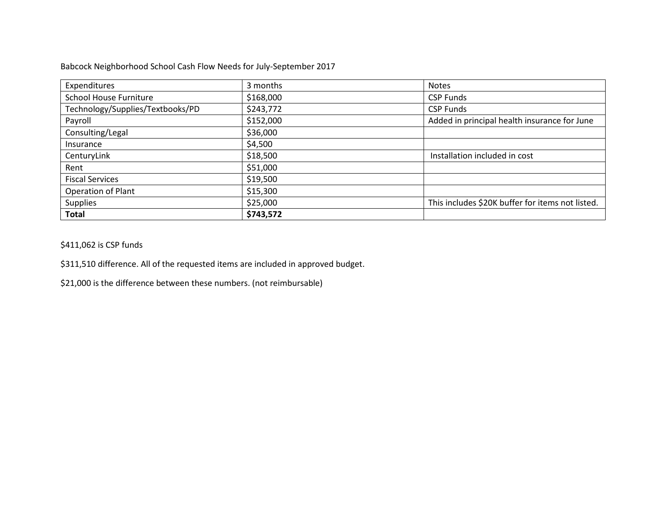Babcock Neighborhood School Cash Flow Needs for July-September 2017

| Expenditures                     | 3 months  | <b>Notes</b>                                     |
|----------------------------------|-----------|--------------------------------------------------|
| School House Furniture           | \$168,000 | <b>CSP Funds</b>                                 |
| Technology/Supplies/Textbooks/PD | \$243,772 | <b>CSP Funds</b>                                 |
| Payroll                          | \$152,000 | Added in principal health insurance for June     |
| Consulting/Legal                 | \$36,000  |                                                  |
| Insurance                        | \$4,500   |                                                  |
| CenturyLink                      | \$18,500  | Installation included in cost                    |
| Rent                             | \$51,000  |                                                  |
| <b>Fiscal Services</b>           | \$19,500  |                                                  |
| Operation of Plant               | \$15,300  |                                                  |
| <b>Supplies</b>                  | \$25,000  | This includes \$20K buffer for items not listed. |
| <b>Total</b>                     | \$743,572 |                                                  |

\$411,062 is CSP funds

\$311,510 difference. All of the requested items are included in approved budget.

\$21,000 is the difference between these numbers. (not reimbursable)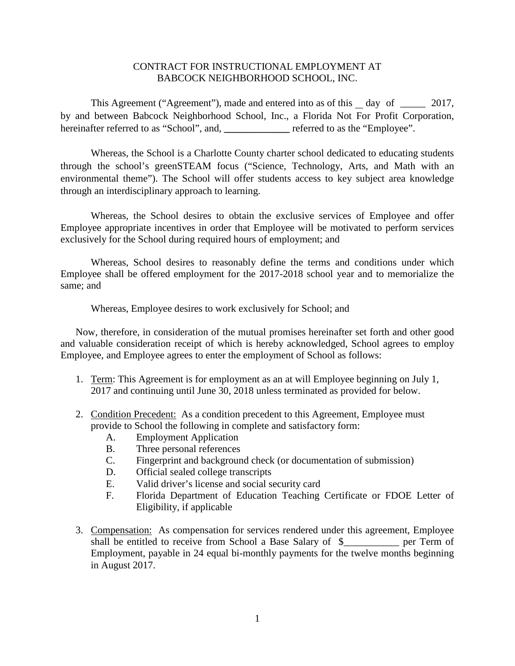## CONTRACT FOR INSTRUCTIONAL EMPLOYMENT AT BABCOCK NEIGHBORHOOD SCHOOL, INC.

This Agreement ("Agreement"), made and entered into as of this day of 2017, by and between Babcock Neighborhood School, Inc., a Florida Not For Profit Corporation, hereinafter referred to as "School", and, \_\_\_\_\_\_\_\_\_\_\_\_\_\_ referred to as the "Employee".

Whereas, the School is a Charlotte County charter school dedicated to educating students through the school's greenSTEAM focus ("Science, Technology, Arts, and Math with an environmental theme"). The School will offer students access to key subject area knowledge through an interdisciplinary approach to learning.

Whereas, the School desires to obtain the exclusive services of Employee and offer Employee appropriate incentives in order that Employee will be motivated to perform services exclusively for the School during required hours of employment; and

Whereas, School desires to reasonably define the terms and conditions under which Employee shall be offered employment for the 2017-2018 school year and to memorialize the same; and

Whereas, Employee desires to work exclusively for School; and

Now, therefore, in consideration of the mutual promises hereinafter set forth and other good and valuable consideration receipt of which is hereby acknowledged, School agrees to employ Employee, and Employee agrees to enter the employment of School as follows:

- 1. Term: This Agreement is for employment as an at will Employee beginning on July 1, 2017 and continuing until June 30, 2018 unless terminated as provided for below.
- 2. Condition Precedent: As a condition precedent to this Agreement, Employee must provide to School the following in complete and satisfactory form:
	- A. Employment Application
	- B. Three personal references
	- C. Fingerprint and background check (or documentation of submission)
	- D. Official sealed college transcripts
	- E. Valid driver's license and social security card
	- F. Florida Department of Education Teaching Certificate or FDOE Letter of Eligibility, if applicable
- 3. Compensation: As compensation for services rendered under this agreement, Employee shall be entitled to receive from School a Base Salary of \$ per Term of Employment, payable in 24 equal bi-monthly payments for the twelve months beginning in August 2017.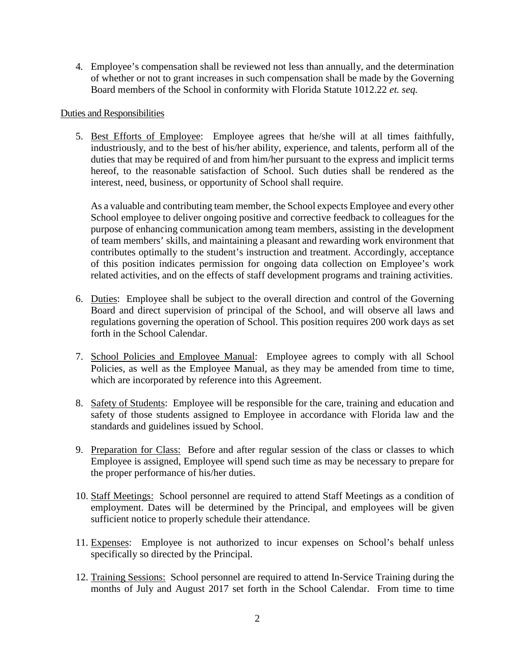4. Employee's compensation shall be reviewed not less than annually, and the determination of whether or not to grant increases in such compensation shall be made by the Governing Board members of the School in conformity with Florida Statute 1012.22 *et. seq.*

## Duties and Responsibilities

5. Best Efforts of Employee: Employee agrees that he/she will at all times faithfully, industriously, and to the best of his/her ability, experience, and talents, perform all of the duties that may be required of and from him/her pursuant to the express and implicit terms hereof, to the reasonable satisfaction of School. Such duties shall be rendered as the interest, need, business, or opportunity of School shall require.

As a valuable and contributing team member, the School expects Employee and every other School employee to deliver ongoing positive and corrective feedback to colleagues for the purpose of enhancing communication among team members, assisting in the development of team members' skills, and maintaining a pleasant and rewarding work environment that contributes optimally to the student's instruction and treatment. Accordingly, acceptance of this position indicates permission for ongoing data collection on Employee's work related activities, and on the effects of staff development programs and training activities.

- 6. Duties: Employee shall be subject to the overall direction and control of the Governing Board and direct supervision of principal of the School, and will observe all laws and regulations governing the operation of School. This position requires 200 work days as set forth in the School Calendar.
- 7. School Policies and Employee Manual: Employee agrees to comply with all School Policies, as well as the Employee Manual, as they may be amended from time to time, which are incorporated by reference into this Agreement.
- 8. Safety of Students: Employee will be responsible for the care, training and education and safety of those students assigned to Employee in accordance with Florida law and the standards and guidelines issued by School.
- 9. Preparation for Class: Before and after regular session of the class or classes to which Employee is assigned, Employee will spend such time as may be necessary to prepare for the proper performance of his/her duties.
- 10. Staff Meetings: School personnel are required to attend Staff Meetings as a condition of employment. Dates will be determined by the Principal, and employees will be given sufficient notice to properly schedule their attendance.
- 11. Expenses: Employee is not authorized to incur expenses on School's behalf unless specifically so directed by the Principal.
- 12. Training Sessions: School personnel are required to attend In-Service Training during the months of July and August 2017 set forth in the School Calendar. From time to time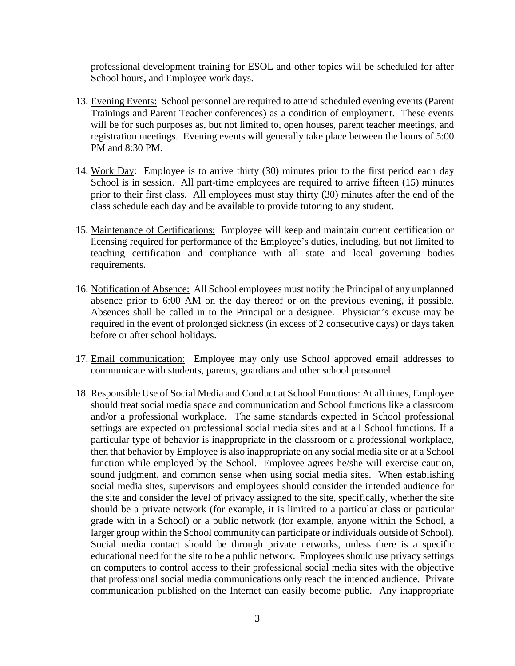professional development training for ESOL and other topics will be scheduled for after School hours, and Employee work days.

- 13. Evening Events: School personnel are required to attend scheduled evening events (Parent Trainings and Parent Teacher conferences) as a condition of employment. These events will be for such purposes as, but not limited to, open houses, parent teacher meetings, and registration meetings. Evening events will generally take place between the hours of 5:00 PM and 8:30 PM.
- 14. Work Day: Employee is to arrive thirty (30) minutes prior to the first period each day School is in session. All part-time employees are required to arrive fifteen (15) minutes prior to their first class. All employees must stay thirty (30) minutes after the end of the class schedule each day and be available to provide tutoring to any student.
- 15. Maintenance of Certifications: Employee will keep and maintain current certification or licensing required for performance of the Employee's duties, including, but not limited to teaching certification and compliance with all state and local governing bodies requirements.
- 16. Notification of Absence: All School employees must notify the Principal of any unplanned absence prior to 6:00 AM on the day thereof or on the previous evening, if possible. Absences shall be called in to the Principal or a designee. Physician's excuse may be required in the event of prolonged sickness (in excess of 2 consecutive days) or days taken before or after school holidays.
- 17. Email communication: Employee may only use School approved email addresses to communicate with students, parents, guardians and other school personnel.
- 18. Responsible Use of Social Media and Conduct at School Functions: At all times, Employee should treat social media space and communication and School functions like a classroom and/or a professional workplace. The same standards expected in School professional settings are expected on professional social media sites and at all School functions. If a particular type of behavior is inappropriate in the classroom or a professional workplace, then that behavior by Employee is also inappropriate on any social media site or at a School function while employed by the School. Employee agrees he/she will exercise caution, sound judgment, and common sense when using social media sites. When establishing social media sites, supervisors and employees should consider the intended audience for the site and consider the level of privacy assigned to the site, specifically, whether the site should be a private network (for example, it is limited to a particular class or particular grade with in a School) or a public network (for example, anyone within the School, a larger group within the School community can participate or individuals outside of School). Social media contact should be through private networks, unless there is a specific educational need for the site to be a public network. Employees should use privacy settings on computers to control access to their professional social media sites with the objective that professional social media communications only reach the intended audience. Private communication published on the Internet can easily become public. Any inappropriate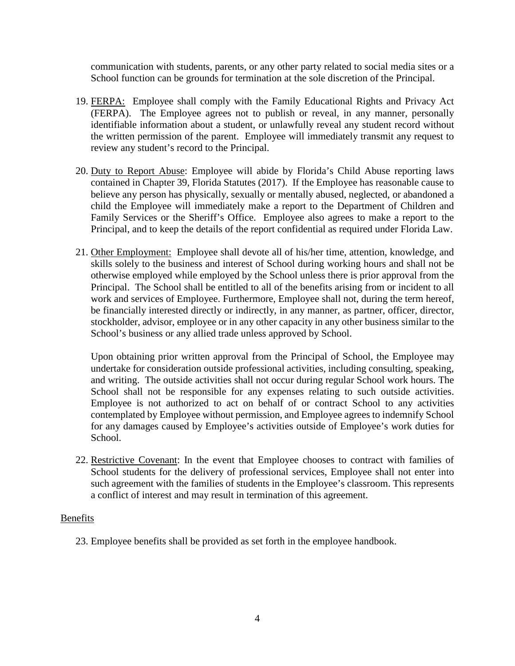communication with students, parents, or any other party related to social media sites or a School function can be grounds for termination at the sole discretion of the Principal.

- 19. FERPA: Employee shall comply with the Family Educational Rights and Privacy Act (FERPA). The Employee agrees not to publish or reveal, in any manner, personally identifiable information about a student, or unlawfully reveal any student record without the written permission of the parent. Employee will immediately transmit any request to review any student's record to the Principal.
- 20. Duty to Report Abuse: Employee will abide by Florida's Child Abuse reporting laws contained in Chapter 39, Florida Statutes (2017). If the Employee has reasonable cause to believe any person has physically, sexually or mentally abused, neglected, or abandoned a child the Employee will immediately make a report to the Department of Children and Family Services or the Sheriff's Office. Employee also agrees to make a report to the Principal, and to keep the details of the report confidential as required under Florida Law.
- 21. Other Employment: Employee shall devote all of his/her time, attention, knowledge, and skills solely to the business and interest of School during working hours and shall not be otherwise employed while employed by the School unless there is prior approval from the Principal. The School shall be entitled to all of the benefits arising from or incident to all work and services of Employee. Furthermore, Employee shall not, during the term hereof, be financially interested directly or indirectly, in any manner, as partner, officer, director, stockholder, advisor, employee or in any other capacity in any other business similar to the School's business or any allied trade unless approved by School.

Upon obtaining prior written approval from the Principal of School, the Employee may undertake for consideration outside professional activities, including consulting, speaking, and writing. The outside activities shall not occur during regular School work hours. The School shall not be responsible for any expenses relating to such outside activities. Employee is not authorized to act on behalf of or contract School to any activities contemplated by Employee without permission, and Employee agrees to indemnify School for any damages caused by Employee's activities outside of Employee's work duties for School.

22. Restrictive Covenant: In the event that Employee chooses to contract with families of School students for the delivery of professional services, Employee shall not enter into such agreement with the families of students in the Employee's classroom. This represents a conflict of interest and may result in termination of this agreement.

## Benefits

23. Employee benefits shall be provided as set forth in the employee handbook.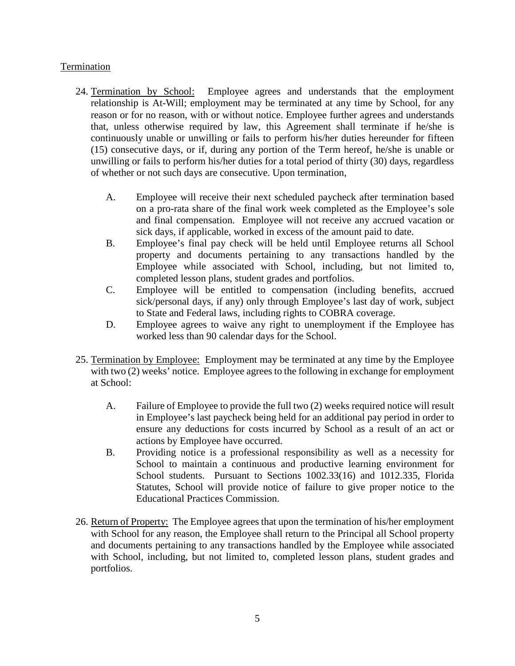## **Termination**

- 24. Termination by School: Employee agrees and understands that the employment relationship is At-Will; employment may be terminated at any time by School, for any reason or for no reason, with or without notice. Employee further agrees and understands that, unless otherwise required by law, this Agreement shall terminate if he/she is continuously unable or unwilling or fails to perform his/her duties hereunder for fifteen (15) consecutive days, or if, during any portion of the Term hereof, he/she is unable or unwilling or fails to perform his/her duties for a total period of thirty (30) days, regardless of whether or not such days are consecutive. Upon termination,
	- A. Employee will receive their next scheduled paycheck after termination based on a pro-rata share of the final work week completed as the Employee's sole and final compensation. Employee will not receive any accrued vacation or sick days, if applicable, worked in excess of the amount paid to date.
	- B. Employee's final pay check will be held until Employee returns all School property and documents pertaining to any transactions handled by the Employee while associated with School, including, but not limited to, completed lesson plans, student grades and portfolios.
	- C. Employee will be entitled to compensation (including benefits, accrued sick/personal days, if any) only through Employee's last day of work, subject to State and Federal laws, including rights to COBRA coverage.
	- D. Employee agrees to waive any right to unemployment if the Employee has worked less than 90 calendar days for the School.
- 25. Termination by Employee: Employment may be terminated at any time by the Employee with two (2) weeks' notice. Employee agrees to the following in exchange for employment at School:
	- A. Failure of Employee to provide the full two (2) weeks required notice will result in Employee's last paycheck being held for an additional pay period in order to ensure any deductions for costs incurred by School as a result of an act or actions by Employee have occurred.
	- B. Providing notice is a professional responsibility as well as a necessity for School to maintain a continuous and productive learning environment for School students. Pursuant to Sections 1002.33(16) and 1012.335, Florida Statutes, School will provide notice of failure to give proper notice to the Educational Practices Commission.
- 26. Return of Property: The Employee agrees that upon the termination of his/her employment with School for any reason, the Employee shall return to the Principal all School property and documents pertaining to any transactions handled by the Employee while associated with School, including, but not limited to, completed lesson plans, student grades and portfolios.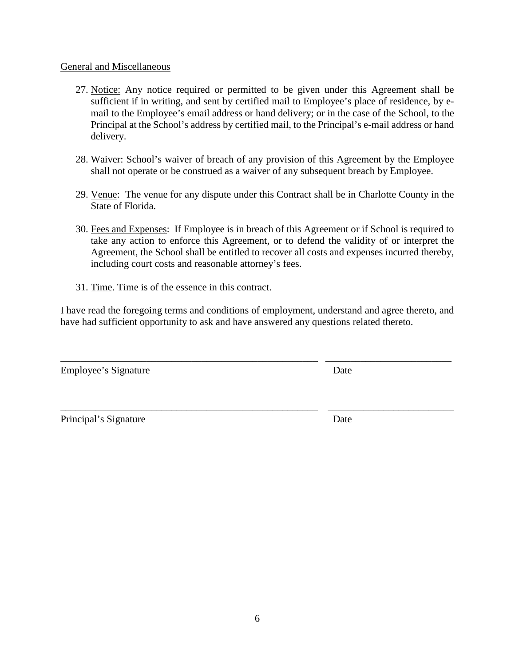## General and Miscellaneous

- 27. Notice: Any notice required or permitted to be given under this Agreement shall be sufficient if in writing, and sent by certified mail to Employee's place of residence, by email to the Employee's email address or hand delivery; or in the case of the School, to the Principal at the School's address by certified mail, to the Principal's e-mail address or hand delivery.
- 28. Waiver: School's waiver of breach of any provision of this Agreement by the Employee shall not operate or be construed as a waiver of any subsequent breach by Employee.
- 29. Venue: The venue for any dispute under this Contract shall be in Charlotte County in the State of Florida.
- 30. Fees and Expenses: If Employee is in breach of this Agreement or if School is required to take any action to enforce this Agreement, or to defend the validity of or interpret the Agreement, the School shall be entitled to recover all costs and expenses incurred thereby, including court costs and reasonable attorney's fees.
- 31. Time. Time is of the essence in this contract.

I have read the foregoing terms and conditions of employment, understand and agree thereto, and have had sufficient opportunity to ask and have answered any questions related thereto.

\_\_\_\_\_\_\_\_\_\_\_\_\_\_\_\_\_\_\_\_\_\_\_\_\_\_\_\_\_\_\_\_\_\_\_\_\_\_\_\_\_\_\_\_\_\_\_\_\_\_\_ \_\_\_\_\_\_\_\_\_\_\_\_\_\_\_\_\_\_\_\_\_\_\_\_\_

Employee's Signature Date

Principal's Signature Date

\_\_\_\_\_\_\_\_\_\_\_\_\_\_\_\_\_\_\_\_\_\_\_\_\_\_\_\_\_\_\_\_\_\_\_\_\_\_\_\_\_\_\_\_\_\_\_\_\_\_\_ \_\_\_\_\_\_\_\_\_\_\_\_\_\_\_\_\_\_\_\_\_\_\_\_\_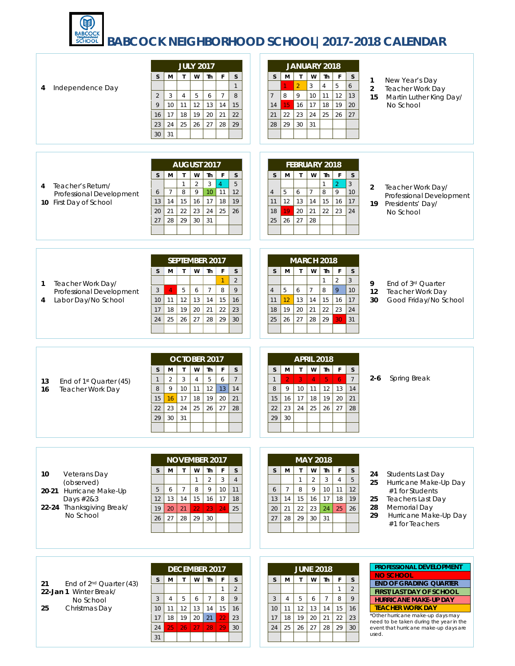

# **BABCOCK NEIGHBORHOOD SCHOOL|2017-2018 CALENDAR**

| Independence Day<br>4                                                                                              | <b>JULY 2017</b><br>W<br>M<br>$\mathsf{T}$<br>Th<br>F<br>S<br>S<br>$\mathbf{1}$<br>5<br>6<br>$\overline{7}$<br>8<br>3<br>$\overline{4}$<br>$\overline{2}$<br>9<br>12<br>10 <sup>°</sup><br>11<br>13<br>14<br>15<br>18<br>19<br>20<br>21<br>16<br>17<br>22<br>25<br>26<br>27<br>24<br>28<br>29<br>23<br>31<br>30                                        | JANUARY 2018<br>W<br>М<br>$\mathsf{T}$<br>Th<br>S<br>F<br>S<br>5<br>6<br>$\overline{2}$<br>3<br>$\overline{4}$<br>$\,9$<br>8<br>12<br>13<br>10<br>11<br>$\overline{7}$<br>15<br>18<br>19<br>20<br>16<br>17<br>14<br>22<br>25<br>26<br>27<br>23<br>24<br>21<br>29<br>30<br>31<br>28                                                             | New Year's Day<br>1<br>$\overline{2}$<br>Teacher Work Day<br>15<br>Martin Luther King Day/<br>No School                                                                                                                                                                                                       |
|--------------------------------------------------------------------------------------------------------------------|--------------------------------------------------------------------------------------------------------------------------------------------------------------------------------------------------------------------------------------------------------------------------------------------------------------------------------------------------------|------------------------------------------------------------------------------------------------------------------------------------------------------------------------------------------------------------------------------------------------------------------------------------------------------------------------------------------------|---------------------------------------------------------------------------------------------------------------------------------------------------------------------------------------------------------------------------------------------------------------------------------------------------------------|
| Teacher's Return/<br>4<br>Professional Development<br>10 First Day of School                                       | AUGUST 2017<br>W<br>Th<br>$\mathsf F$<br>S<br><sub>S</sub><br>м<br>$\mathsf{T}$<br>5<br>$\mathbf{1}$<br>$\overline{2}$<br>$\sqrt{3}$<br>$\overline{4}$<br>10 <sub>10</sub><br>12<br>8<br>9<br>11<br>$\overline{7}$<br>6<br>15<br>16<br>17<br>18<br>19<br>14<br>13<br>20<br>22<br>23<br>24<br>25<br>21<br>26<br>29<br>31<br>27<br>28<br>30              | FEBRUARY 2018<br>$\mathsf{T}$<br>W<br>Th<br>F<br>$\mathsf{s}$<br>S<br>M<br>$\mathbf{3}$<br>$\overline{2}$<br>1<br>8<br>10 <sup>°</sup><br>5<br>6<br>$\overline{7}$<br>9<br>$\overline{4}$<br>12<br>13<br>15<br>14<br>16<br>17<br>11<br>19<br>20<br>21<br>22<br>23<br>24<br>18<br>26<br>27<br>28<br>25                                          | $\overline{2}$<br>Teacher Work Day/<br>Professional Development<br>19<br>Presidents' Day/<br>No School                                                                                                                                                                                                        |
| Teacher Work Day/<br>1<br>Professional Development<br>Labor Day/No School<br>4                                     | SEPTEMBER 2017<br>S<br>w<br><b>Th</b><br>F<br>$\mathsf{S}$<br>M<br>$\mathsf{T}$<br>$\overline{2}$<br>$\overline{7}$<br>8<br>$\mathbf{3}$<br>5<br>9<br>$\overline{4}$<br>6<br>10<br>12<br>13<br>14<br>15<br>16<br>11<br>19<br>22<br>18<br>20<br>21<br>23<br>17<br>26<br>27<br>28<br>29<br>25<br>30<br>24                                                | <b>MARCH 2018</b><br>W<br>Th<br>$\mathsf{S}$<br>M<br>$\mathsf{T}$<br>F<br>S<br>$\overline{2}$<br>3<br>1<br>8<br>9<br>5<br>$\overline{7}$<br>6<br>10<br>$\overline{4}$<br>12<br>17<br>13<br>14<br>15<br>16<br>11<br>19<br>20<br>22<br>23<br>24<br>21<br>18<br>27<br>29<br>26<br>28<br>30<br>25<br>31                                            | End of 3rd Quarter<br>9<br>12<br>Teacher Work Day<br>Good Friday/No School<br>30                                                                                                                                                                                                                              |
| 13<br>End of 1 <sup>st</sup> Quarter (45)<br>16<br><b>Teacher Work Day</b>                                         | OCTOBER 2017<br>M<br>W<br>Th<br>$\mathsf F$<br>$\mathsf{s}$<br>$\mathsf S$<br>$\mathsf{T}$<br>$\overline{7}$<br>$\mathbf{3}$<br>5<br>$\overline{2}$<br>$\overline{4}$<br>6<br>$\mathbf{1}$<br>10<br>12<br>$\,8\,$<br>9<br>11<br>13<br>14<br>17<br>18<br>19<br>20<br>21<br>16<br>15<br>25<br>23<br>24<br>26<br>27<br>28<br>22<br>29<br>30<br>31         | <b>APRIL 2018</b><br>W<br>M<br>$\mathbf{T}$<br>Th<br>F<br>$\mathsf S$<br>S<br>$7\overline{ }$<br>3 <sup>°</sup><br>5 <sup>1</sup><br>$\overline{6}$<br>$\mathcal{P}$<br>$\overline{4}$<br>$\mathbf{1}$<br>9<br>10<br>11<br>12<br>13<br>8<br>14<br>18<br>19<br>20<br>16<br>17<br>21<br>15<br>25<br>23<br>26<br>27<br>24<br>28<br>22<br>30<br>29 | Spring Break<br>2-6                                                                                                                                                                                                                                                                                           |
| 10<br>Veterans Day<br>(observed)<br>20-21 Hurricane Make-Up<br>Days #2&3<br>22-24 Thanksgiving Break/<br>No School | <b>NOVEMBER 2017</b><br>W<br>Th<br>S<br>M<br>$\mathsf{T}$<br>$\mathsf{F}$<br>S<br>$\sqrt{2}$<br>$\overline{3}$<br>$\overline{4}$<br>$\mathbf{1}$<br>$\,9$<br>$\overline{7}$<br>8<br>10<br>11<br>5<br>6<br>13<br>14<br>15<br>16<br>17<br>18<br>12<br>22<br>19<br>20<br>21<br>23<br>24<br>25<br>28<br>29<br>26<br>27<br>30                               | <b>MAY 2018</b><br>W<br>$\mathsf{S}$<br>M<br>Th<br>F<br>$\mathsf S$<br>$\mathsf{T}$<br>$\sqrt{4}$<br>$\overline{2}$<br>$\overline{3}$<br>$\mathbf{1}$<br>5<br>$\overline{7}$<br>$\overline{9}$<br>10<br>11<br>8<br>12<br>6<br>14<br>16<br>17<br>18<br>$19$<br>15<br>13<br>21<br>22<br>23<br>24<br>25<br>26<br>20<br>31<br>28<br>27<br>29<br>30 | Students Last Day<br>24<br>25<br>Hurricane Make-Up Day<br>#1 for Students<br><b>Teachers Last Day</b><br>25<br>28<br>Memorial Day<br>Hurricane Make-Up Day<br>29<br>#1 for Teachers                                                                                                                           |
| End of 2 <sup>nd</sup> Quarter (43)<br>21<br>22-Jan 1 Winter Break/<br>No School<br>25<br>Christmas Day            | <b>DECEMBER 2017</b><br>W<br>Th<br>$\mathsf{F}$<br>$\mathsf{S}$<br>S<br>M<br>$\mathsf{T}$<br>$\overline{2}$<br>$\mathbf{1}$<br>$\mathfrak{Z}$<br>$\overline{7}$<br>8<br>9<br>5<br>$\overline{4}$<br>6<br>12<br>13<br>14<br>15<br>16<br>10<br>11<br>18<br>19<br>20<br>21<br>23<br>22<br>17<br>27<br>28<br>26<br>25 <sub>1</sub><br>29<br>30<br>24<br>31 | <b>JUNE 2018</b><br>Th<br>F<br>$\mathsf S$<br>S<br>M<br>W<br>$\mathsf{T}$<br>$\mathbf{1}$<br>$\overline{2}$<br>8<br>$\overline{7}$<br>9<br>$\overline{3}$<br>$\overline{4}$<br>5<br>6<br>11<br>12<br>13<br>14<br>15<br>10<br>16<br>22<br>19<br>20<br>21<br>23<br>17<br>18<br>29<br>28<br>25<br>26<br>27<br>24<br>30                            | PROFESSIONAL DEVELOPMENT<br><b>NO SCHOOL</b><br><b>END OF GRADING QUARTER</b><br><b>FIRST/LAST DAY OF SCHOOL</b><br><b>HURRICANE MAKE-UP DAY</b><br><b>TEACHER WORK DAY</b><br>*Other hurricane make-up days may<br>need to be taken during the year in the<br>event that hurricane make-up days are<br>used. |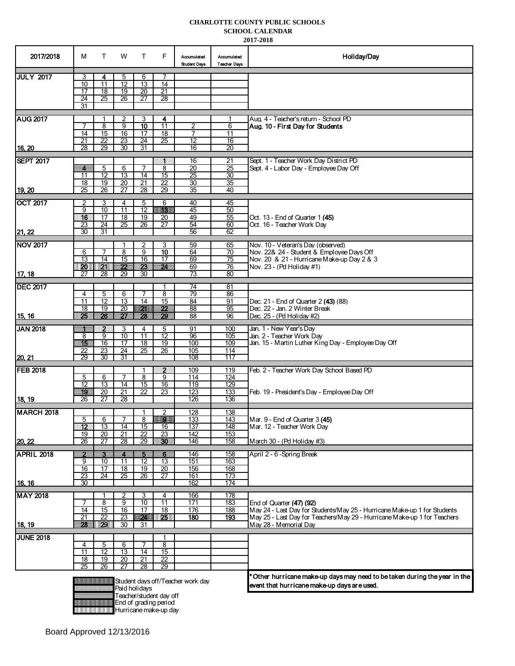#### **CHARLOTTE COUNTY PUBLIC SCHOOLS SCHOOL CALENDAR**

 **2017-2018**

| 2017/2018         | м                       | T.                                 | w                                  | Т                        | F                                                                                                                          | Accumulated<br><b>Student Days</b> | Accumulated<br><b>Teacher Days</b> | Holiday/Day                                                                                                               |
|-------------------|-------------------------|------------------------------------|------------------------------------|--------------------------|----------------------------------------------------------------------------------------------------------------------------|------------------------------------|------------------------------------|---------------------------------------------------------------------------------------------------------------------------|
| <b>JULY 2017</b>  | 3                       | 4                                  | 5                                  | 6                        |                                                                                                                            |                                    |                                    |                                                                                                                           |
|                   | 10<br>17                | 11<br>18                           | 12<br>$\overline{19}$              | 13<br>$\overline{20}$    | 14<br>21                                                                                                                   |                                    |                                    |                                                                                                                           |
|                   | 24                      | 25                                 | 26                                 | 27                       | $\overline{28}$                                                                                                            |                                    |                                    |                                                                                                                           |
|                   | 31                      |                                    |                                    |                          |                                                                                                                            |                                    |                                    |                                                                                                                           |
| <b>IAUG 2017</b>  |                         | 1                                  | 2                                  | 3                        | 4                                                                                                                          |                                    |                                    | Aug. 4 - Teacher's return - School PD                                                                                     |
|                   | 7<br>14                 | 8<br>15                            | $\overline{9}$<br>16               | 10<br>17                 | $\overline{11}$                                                                                                            | $\overline{2}$<br>7                | 6                                  | Aug. 10 - First Day for Students                                                                                          |
|                   | 21                      | $\overline{22}$                    | 23                                 | 24                       | 18<br>25                                                                                                                   | $\overline{12}$                    | 11<br>16                           |                                                                                                                           |
| 16, 20            | 28                      | 29                                 | 30                                 | 31                       |                                                                                                                            | 16                                 | 20                                 |                                                                                                                           |
| <b>SEPT 2017</b>  |                         |                                    |                                    |                          | H.                                                                                                                         | 16                                 | 21                                 | Sept. 1 - Teacher Work Day District PD                                                                                    |
|                   | $\overline{\mathbf{4}}$ | 5                                  | 6                                  | 7                        | 8                                                                                                                          | 20                                 | 25                                 | Sept. 4 - Labor Dav - Emplovee Dav Off                                                                                    |
|                   | 11<br>18                | $\overline{12}$<br>$\overline{19}$ | $\overline{13}$<br>$\overline{20}$ | 14<br>$\overline{21}$    | 15<br>$\overline{22}$                                                                                                      | 25<br>$\overline{30}$              | 30<br>35                           |                                                                                                                           |
| 19, 20            | $\overline{25}$         | 26                                 | 27                                 | 28                       | 29                                                                                                                         | 35                                 | 40                                 |                                                                                                                           |
| <b>OCT 2017</b>   | 2                       | 3                                  | 4                                  | 5                        | 6                                                                                                                          | 40                                 | 45                                 |                                                                                                                           |
|                   | 9                       | 10                                 | 11                                 | $\overline{12}$          | HS.                                                                                                                        | 45                                 | 50                                 |                                                                                                                           |
|                   | 16<br>23                | 17<br>$\overline{24}$              | $\overline{18}$<br>25              | 19<br>26                 | 20<br>27                                                                                                                   | 49<br>54                           | 55<br>60                           | Oct. 13 - End of Quarter 1 (45)<br>Oct. 16 - Teacher Work Day                                                             |
| 21, 22            | 30                      | 31                                 |                                    |                          |                                                                                                                            | 56                                 | 62                                 |                                                                                                                           |
| <b>NOV 2017</b>   |                         |                                    |                                    | 2                        | 3                                                                                                                          | 59                                 | 65                                 | Nov. 10 - Veteran's Day (observed)                                                                                        |
|                   | 6                       | 7                                  | 8                                  | $\overline{9}$           | 10                                                                                                                         | 64                                 | 70                                 | Nov. 22& 24 - Student & Employee Days Off                                                                                 |
|                   | 13                      | 14                                 | $\overline{15}$                    | 16                       | 17                                                                                                                         | 69                                 | $\overline{75}$                    | Nov. 20 & 21 - Hurricane Make-up Day 2 & 3                                                                                |
| 17, 18            | IDO II<br>27            | <u> 1211     </u><br>28            | 22<br>29                           | W,<br>30                 | 24                                                                                                                         | 69<br>73                           | 76<br>80                           | Nov. 23 - (Pd Holiday #1)                                                                                                 |
|                   |                         |                                    |                                    |                          |                                                                                                                            |                                    |                                    |                                                                                                                           |
| <b>DEC 2017</b>   | 4                       | 5                                  | 6                                  | 7                        | 8                                                                                                                          | 74<br>79                           | 81<br>86                           |                                                                                                                           |
|                   | 11                      | $\overline{12}$                    | 13                                 | $\overline{14}$          | 15                                                                                                                         | 84                                 | 91                                 | Dec. 21 - End of Quarter 2 (43) (88)                                                                                      |
| 15, 16            | $\overline{18}$<br>25   | $\overline{19}$<br>26              | $\overline{20}$<br>27              | $\mathbf{r}$<br>28       | 22<br>29                                                                                                                   | 88<br>88                           | 95<br>96                           | Dec. 22 - Jan. 2 Winter Break<br>Dec. 25 - (Pd Holiday #2)                                                                |
|                   |                         |                                    |                                    |                          |                                                                                                                            |                                    |                                    |                                                                                                                           |
| <b>JAN 2018</b>   | ≝<br>8                  | $\overline{2}$<br>9                | 3<br>10                            | 4<br>11                  | 5<br>$\overline{12}$                                                                                                       | 91<br>96                           | 100<br>105                         | Jan. 1 - New Year's Day<br>Jan. 2 - Teacher Work Day                                                                      |
|                   | 15                      | 16                                 | $\overline{17}$                    | $\overline{18}$          | 19                                                                                                                         | 100                                | 109                                | Jan. 15 - Martin Luther King Day - Employee Day Off                                                                       |
|                   | 22<br>29                | $\overline{23}$<br>30              | $\overline{24}$<br>31              | $\overline{25}$          | 26                                                                                                                         | 105<br>108                         | 114<br>117                         |                                                                                                                           |
| 20.21             |                         |                                    |                                    |                          |                                                                                                                            |                                    |                                    |                                                                                                                           |
| <b>FEB 2018</b>   | 5                       | 6                                  | 7                                  | $\overline{8}$           | 2<br>9                                                                                                                     | 109<br>114                         | 119<br>124                         | Feb. 2 - Teacher Work Day School Based PD                                                                                 |
|                   | $\overline{12}$         | $\overline{13}$                    | 14                                 | $\overline{15}$          | 16                                                                                                                         | 119                                | 129                                |                                                                                                                           |
|                   | 19                      | $\overline{20}$                    | 21                                 | $\overline{22}$          | $\overline{23}$                                                                                                            | 123                                | 133                                | Feb. 19 - President's Day - Employee Day Off                                                                              |
| 18, 19            | $\overline{26}$         | 27                                 | $\overline{28}$                    |                          |                                                                                                                            | 126                                | 136                                |                                                                                                                           |
| <b>MARCH 2018</b> |                         |                                    | 7                                  | 8                        | 2<br><b>The Contract of the Contract of the Contract of the Contract of the Contract of the Contract of the Contract o</b> | 128<br>133                         | 138                                |                                                                                                                           |
|                   | 5<br>$12 \,$            | 6<br>13                            | 14                                 | 15                       | 16                                                                                                                         | 137                                | 143<br><u> 148</u>                 | Mar. 9 - End of Quarter 3 (45)<br>Mar. 12 - Teacher Work Day                                                              |
|                   | 19                      | 20                                 | $\overline{21}$                    | $\overline{22}$          | 23                                                                                                                         | 142                                | 153                                |                                                                                                                           |
| 20, 22            | 26                      | 27                                 | 28                                 | 29                       | 80                                                                                                                         | 146                                | 158                                | March 30 - (Pd Holiday #3)                                                                                                |
| <b>APRIL 2018</b> | $\overline{2}$          | -3                                 | $\overline{4}$                     | -5                       | $6-$                                                                                                                       | 146                                | 158                                | April 2 - 6 -Spring Break                                                                                                 |
|                   | 9<br>16                 | 10<br>$\overline{17}$              | 11<br>$\overline{18}$              | $\overline{12}$<br>19    | 13<br>$\overline{20}$                                                                                                      | 151<br>156                         | 163<br>168                         |                                                                                                                           |
|                   | 23                      | 24                                 | $\overline{25}$                    | $\overline{26}$          | 27                                                                                                                         | 161                                | 173                                |                                                                                                                           |
| 16.16             | $\overline{30}$         |                                    |                                    |                          |                                                                                                                            | 162                                | 174                                |                                                                                                                           |
| <b>MAY 2018</b>   |                         |                                    | 2                                  | 3                        | 4                                                                                                                          | 166                                | 178                                |                                                                                                                           |
|                   | 7<br>14                 | 8<br>15                            | 9<br>$\overline{16}$               | 10<br>$\overline{17}$    | $\overline{11}$<br>$\overline{18}$                                                                                         | 171<br>176                         | 183<br>188                         | End of Quarter (47) (92)<br>May 24 - Last Day for Students/May 25 - Hurricane Make-up 1 for Students                      |
|                   | $\overline{21}$         | $\overline{22}$                    | 23                                 | $\overline{\phantom{a}}$ | 25                                                                                                                         | 180                                | 193                                | May 25 - Last Day for Teachers/May 29 - Hurricane Make-up 1 for Teachers                                                  |
| 18, 19            | 28                      | <b>DO</b>                          | 30                                 | 31                       |                                                                                                                            |                                    |                                    | May 28 - Memorial Day                                                                                                     |
| <b>JUNE 2018</b>  |                         |                                    |                                    |                          | 1                                                                                                                          |                                    |                                    |                                                                                                                           |
|                   | 4                       | 5                                  | 6                                  | 7                        | 8                                                                                                                          |                                    |                                    |                                                                                                                           |
|                   | 11<br>$\overline{18}$   | 12<br>19                           | 13<br>$\overline{20}$              | 14<br>21                 | $\overline{15}$<br>22                                                                                                      |                                    |                                    |                                                                                                                           |
|                   | 25                      | 26                                 | 27                                 | $\overline{28}$          | 29                                                                                                                         |                                    |                                    |                                                                                                                           |
|                   |                         |                                    |                                    | Paid holidavs            | Teacher/student day off                                                                                                    | Student days off/Teacher work day  |                                    | * Other hurricane make-up days may need to be taken during the year in the<br>event that hurricane make-up days are used. |
|                   |                         |                                    |                                    |                          | End of grading period<br>Hurricane make-up day                                                                             |                                    |                                    |                                                                                                                           |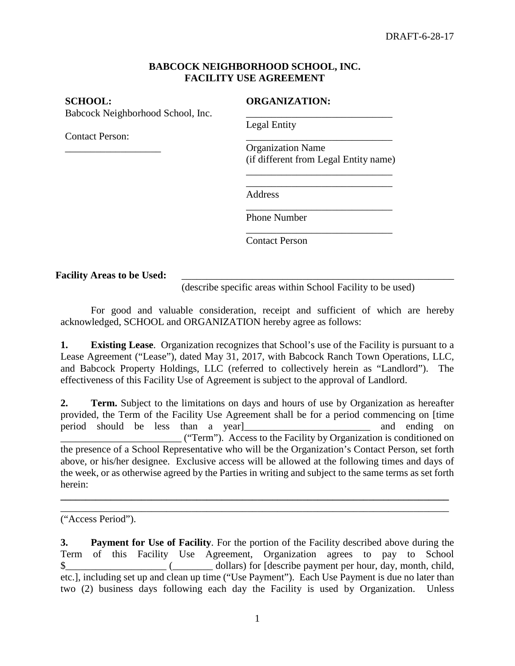## **BABCOCK NEIGHBORHOOD SCHOOL, INC. FACILITY USE AGREEMENT**

Babcock Neighborhood School, Inc.

Contact Person:

\_\_\_\_\_\_\_\_\_\_\_\_\_\_\_\_\_\_\_

## **SCHOOL: ORGANIZATION:**

Legal Entity

\_\_\_\_\_\_\_\_\_\_\_\_\_\_\_\_\_\_\_\_\_\_\_\_\_\_\_\_\_ Organization Name (if different from Legal Entity name)

\_\_\_\_\_\_\_\_\_\_\_\_\_\_\_\_\_\_\_\_\_\_\_\_\_\_\_\_\_ \_\_\_\_\_\_\_\_\_\_\_\_\_\_\_\_\_\_\_\_\_\_\_\_\_\_\_\_\_

\_\_\_\_\_\_\_\_\_\_\_\_\_\_\_\_\_\_\_\_\_\_\_\_\_\_\_\_\_

\_\_\_\_\_\_\_\_\_\_\_\_\_\_\_\_\_\_\_\_\_\_\_\_\_\_\_\_\_

Address

\_\_\_\_\_\_\_\_\_\_\_\_\_\_\_\_\_\_\_\_\_\_\_\_\_\_\_\_\_ Phone Number

Contact Person

## Facility Areas to be Used:

(describe specific areas within School Facility to be used)

For good and valuable consideration, receipt and sufficient of which are hereby acknowledged, SCHOOL and ORGANIZATION hereby agree as follows:

**1. Existing Lease**. Organization recognizes that School's use of the Facility is pursuant to a Lease Agreement ("Lease"), dated May 31, 2017, with Babcock Ranch Town Operations, LLC, and Babcock Property Holdings, LLC (referred to collectively herein as "Landlord"). The effectiveness of this Facility Use of Agreement is subject to the approval of Landlord.

**2. Term.** Subject to the limitations on days and hours of use by Organization as hereafter provided, the Term of the Facility Use Agreement shall be for a period commencing on [time period should be less than a year] and ending on \_\_\_\_\_\_\_\_\_\_\_\_\_\_\_\_\_\_\_\_\_\_\_\_ ("Term"). Access to the Facility by Organization is conditioned on the presence of a School Representative who will be the Organization's Contact Person, set forth above, or his/her designee. Exclusive access will be allowed at the following times and days of the week, or as otherwise agreed by the Parties in writing and subject to the same terms as set forth herein:

**\_\_\_\_\_\_\_\_\_\_\_\_\_\_\_\_\_\_\_\_\_\_\_\_\_\_\_\_\_\_\_\_\_\_\_\_\_\_\_\_\_\_\_\_\_\_\_\_\_\_\_\_\_\_\_\_\_\_\_\_\_\_\_\_\_\_\_\_\_\_\_\_\_\_\_\_\_** \_\_\_\_\_\_\_\_\_\_\_\_\_\_\_\_\_\_\_\_\_\_\_\_\_\_\_\_\_\_\_\_\_\_\_\_\_\_\_\_\_\_\_\_\_\_\_\_\_\_\_\_\_\_\_\_\_\_\_\_\_\_\_\_\_\_\_\_\_\_\_\_\_\_\_\_\_

("Access Period").

**<sup>3.</sup> Payment for Use of Facility**. For the portion of the Facility described above during the Term of this Facility Use Agreement, Organization agrees to pay to School \$\_\_\_\_\_\_\_\_\_\_\_\_\_\_\_\_\_\_\_\_ (\_\_\_\_\_\_\_\_ dollars) for [describe payment per hour, day, month, child, etc.], including set up and clean up time ("Use Payment"). Each Use Payment is due no later than two (2) business days following each day the Facility is used by Organization. Unless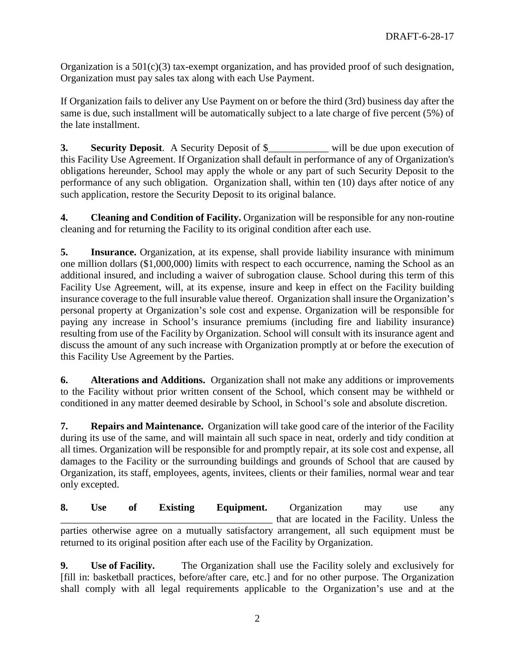Organization is a  $501(c)(3)$  tax-exempt organization, and has provided proof of such designation, Organization must pay sales tax along with each Use Payment.

If Organization fails to deliver any Use Payment on or before the third (3rd) business day after the same is due, such installment will be automatically subject to a late charge of five percent (5%) of the late installment.

**3. Security Deposit**. A Security Deposit of  $\frac{1}{2}$  will be due upon execution of this Facility Use Agreement. If Organization shall default in performance of any of Organization's obligations hereunder, School may apply the whole or any part of such Security Deposit to the performance of any such obligation. Organization shall, within ten (10) days after notice of any such application, restore the Security Deposit to its original balance.

**4. Cleaning and Condition of Facility.** Organization will be responsible for any non-routine cleaning and for returning the Facility to its original condition after each use.

**5. Insurance.** Organization, at its expense, shall provide liability insurance with minimum one million dollars (\$1,000,000) limits with respect to each occurrence, naming the School as an additional insured, and including a waiver of subrogation clause. School during this term of this Facility Use Agreement, will, at its expense, insure and keep in effect on the Facility building insurance coverage to the full insurable value thereof. Organization shall insure the Organization's personal property at Organization's sole cost and expense. Organization will be responsible for paying any increase in School's insurance premiums (including fire and liability insurance) resulting from use of the Facility by Organization. School will consult with its insurance agent and discuss the amount of any such increase with Organization promptly at or before the execution of this Facility Use Agreement by the Parties.

**6. Alterations and Additions.** Organization shall not make any additions or improvements to the Facility without prior written consent of the School, which consent may be withheld or conditioned in any matter deemed desirable by School, in School's sole and absolute discretion.

**7. Repairs and Maintenance.** Organization will take good care of the interior of the Facility during its use of the same, and will maintain all such space in neat, orderly and tidy condition at all times. Organization will be responsible for and promptly repair, at its sole cost and expense, all damages to the Facility or the surrounding buildings and grounds of School that are caused by Organization, its staff, employees, agents, invitees, clients or their families, normal wear and tear only excepted.

**8. Use of Existing Equipment.** Organization may use any that are located in the Facility. Unless the parties otherwise agree on a mutually satisfactory arrangement, all such equipment must be returned to its original position after each use of the Facility by Organization.

**9. Use of Facility.** The Organization shall use the Facility solely and exclusively for [fill in: basketball practices, before/after care, etc.] and for no other purpose. The Organization shall comply with all legal requirements applicable to the Organization's use and at the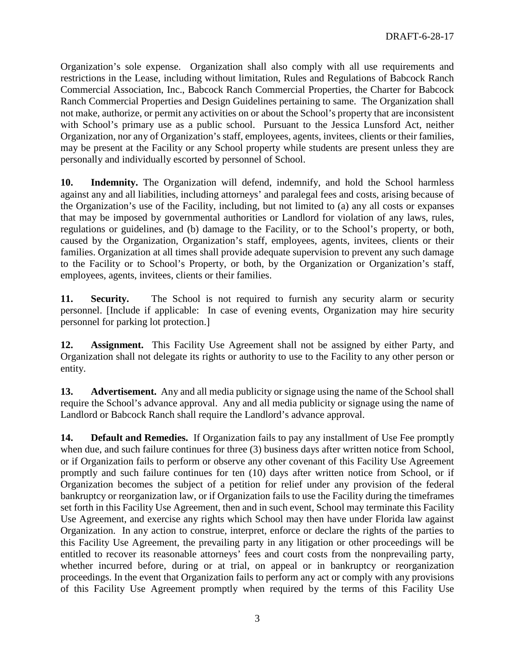Organization's sole expense. Organization shall also comply with all use requirements and restrictions in the Lease, including without limitation, Rules and Regulations of Babcock Ranch Commercial Association, Inc., Babcock Ranch Commercial Properties, the Charter for Babcock Ranch Commercial Properties and Design Guidelines pertaining to same. The Organization shall not make, authorize, or permit any activities on or about the School's property that are inconsistent with School's primary use as a public school. Pursuant to the Jessica Lunsford Act, neither Organization, nor any of Organization's staff, employees, agents, invitees, clients or their families, may be present at the Facility or any School property while students are present unless they are personally and individually escorted by personnel of School.

**10. Indemnity.** The Organization will defend, indemnify, and hold the School harmless against any and all liabilities, including attorneys' and paralegal fees and costs, arising because of the Organization's use of the Facility, including, but not limited to (a) any all costs or expanses that may be imposed by governmental authorities or Landlord for violation of any laws, rules, regulations or guidelines, and (b) damage to the Facility, or to the School's property, or both, caused by the Organization, Organization's staff, employees, agents, invitees, clients or their families. Organization at all times shall provide adequate supervision to prevent any such damage to the Facility or to School's Property, or both, by the Organization or Organization's staff, employees, agents, invitees, clients or their families.

**11. Security.** The School is not required to furnish any security alarm or security personnel. [Include if applicable: In case of evening events, Organization may hire security personnel for parking lot protection.]

**12. Assignment.** This Facility Use Agreement shall not be assigned by either Party, and Organization shall not delegate its rights or authority to use to the Facility to any other person or entity.

**13. Advertisement.** Any and all media publicity or signage using the name of the School shall require the School's advance approval. Any and all media publicity or signage using the name of Landlord or Babcock Ranch shall require the Landlord's advance approval.

**14. Default and Remedies.** If Organization fails to pay any installment of Use Fee promptly when due, and such failure continues for three (3) business days after written notice from School, or if Organization fails to perform or observe any other covenant of this Facility Use Agreement promptly and such failure continues for ten (10) days after written notice from School, or if Organization becomes the subject of a petition for relief under any provision of the federal bankruptcy or reorganization law, or if Organization fails to use the Facility during the timeframes set forth in this Facility Use Agreement, then and in such event, School may terminate this Facility Use Agreement, and exercise any rights which School may then have under Florida law against Organization. In any action to construe, interpret, enforce or declare the rights of the parties to this Facility Use Agreement, the prevailing party in any litigation or other proceedings will be entitled to recover its reasonable attorneys' fees and court costs from the nonprevailing party, whether incurred before, during or at trial, on appeal or in bankruptcy or reorganization proceedings. In the event that Organization fails to perform any act or comply with any provisions of this Facility Use Agreement promptly when required by the terms of this Facility Use